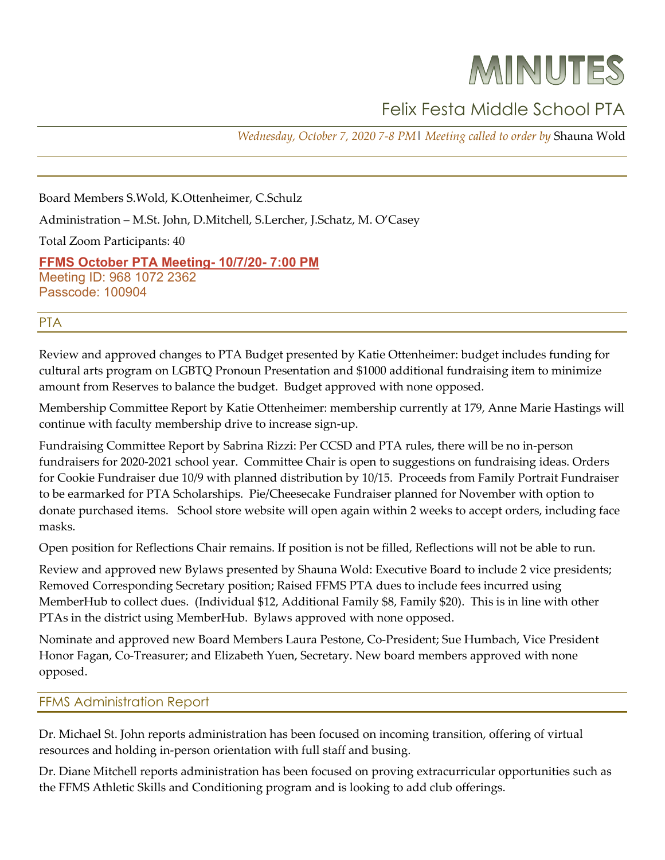# MINUTES

# Felix Festa Middle School PTA

*Wednesday, October 7, 2020 7-8 PM*| *Meeting called to order by* Shauna Wold

Board Members S.Wold, K.Ottenheimer, C.Schulz

Administration – M.St. John, D.Mitchell, S.Lercher, J.Schatz, M. O'Casey

Total Zoom Participants: 40

**[FFMS October PTA Meeting-](http://r20.rs6.net/tn.jsp?f=001MKIPy9d8ZvhlO7VcYDZFxP3fne-x0Nt-EzBYC2IqlMR_obq8wIoOaOuvsr4sz7fTJytt6FZAuYxGrZtp210m_uPjZEzZie-Q0sqeMfnpNdyCjMLxitSKzJFVqwYFXnsZybozYZQ35vhw0yYvlOVfr-d-CoKquxZnlEnojYsuQw5mbjua535oKYSvsrQAYmTdyTP_49JGvlOOo7dW4tsuEQ==&c=l70v4S2n4MSUjHPfuZKk1GadBJoqoRFLcH43WmiKiCHsdr7UQ_SE0A==&ch=sefARsSLxhdBYkb1G-gWrh96_jsSWEmwTO-ujWPWmLLCra6pL5Vdmw==) 10/7/20- 7:00 PM** Meeting ID: 968 1072 2362 Passcode: 100904

PTA

Review and approved changes to PTA Budget presented by Katie Ottenheimer: budget includes funding for cultural arts program on LGBTQ Pronoun Presentation and \$1000 additional fundraising item to minimize amount from Reserves to balance the budget. Budget approved with none opposed.

Membership Committee Report by Katie Ottenheimer: membership currently at 179, Anne Marie Hastings will continue with faculty membership drive to increase sign-up.

Fundraising Committee Report by Sabrina Rizzi: Per CCSD and PTA rules, there will be no in-person fundraisers for 2020-2021 school year. Committee Chair is open to suggestions on fundraising ideas. Orders for Cookie Fundraiser due 10/9 with planned distribution by 10/15. Proceeds from Family Portrait Fundraiser to be earmarked for PTA Scholarships. Pie/Cheesecake Fundraiser planned for November with option to donate purchased items. School store website will open again within 2 weeks to accept orders, including face masks.

Open position for Reflections Chair remains. If position is not be filled, Reflections will not be able to run.

Review and approved new Bylaws presented by Shauna Wold: Executive Board to include 2 vice presidents; Removed Corresponding Secretary position; Raised FFMS PTA dues to include fees incurred using MemberHub to collect dues. (Individual \$12, Additional Family \$8, Family \$20). This is in line with other PTAs in the district using MemberHub. Bylaws approved with none opposed.

Nominate and approved new Board Members Laura Pestone, Co-President; Sue Humbach, Vice President Honor Fagan, Co-Treasurer; and Elizabeth Yuen, Secretary. New board members approved with none opposed.

## FFMS Administration Report

Dr. Michael St. John reports administration has been focused on incoming transition, offering of virtual resources and holding in-person orientation with full staff and busing.

Dr. Diane Mitchell reports administration has been focused on proving extracurricular opportunities such as the FFMS Athletic Skills and Conditioning program and is looking to add club offerings.